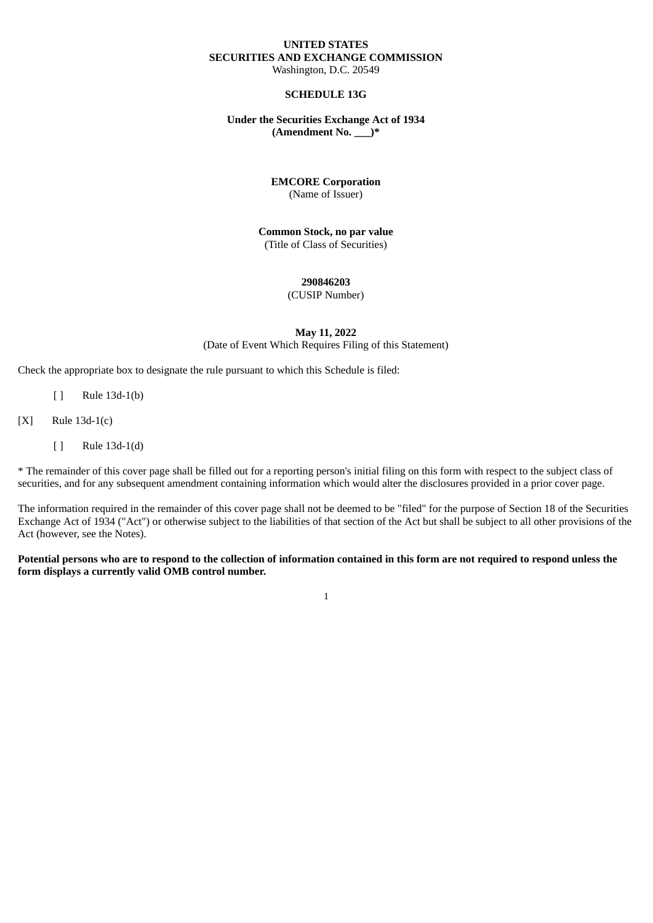#### **UNITED STATES SECURITIES AND EXCHANGE COMMISSION** Washington, D.C. 20549

#### **SCHEDULE 13G**

#### **Under the Securities Exchange Act of 1934 (Amendment No. \_\_\_)\***

# **EMCORE Corporation**

(Name of Issuer)

#### **Common Stock, no par value** (Title of Class of Securities)

### **290846203**

(CUSIP Number)

### **May 11, 2022** (Date of Event Which Requires Filing of this Statement)

Check the appropriate box to designate the rule pursuant to which this Schedule is filed:

- [ ] Rule 13d-1(b)
- [X] Rule 13d-1(c)
	- [ ] Rule 13d-1(d)

\* The remainder of this cover page shall be filled out for a reporting person's initial filing on this form with respect to the subject class of securities, and for any subsequent amendment containing information which would alter the disclosures provided in a prior cover page.

The information required in the remainder of this cover page shall not be deemed to be "filed" for the purpose of Section 18 of the Securities Exchange Act of 1934 ("Act") or otherwise subject to the liabilities of that section of the Act but shall be subject to all other provisions of the Act (however, see the Notes).

#### Potential persons who are to respond to the collection of information contained in this form are not required to respond unless the **form displays a currently valid OMB control number.**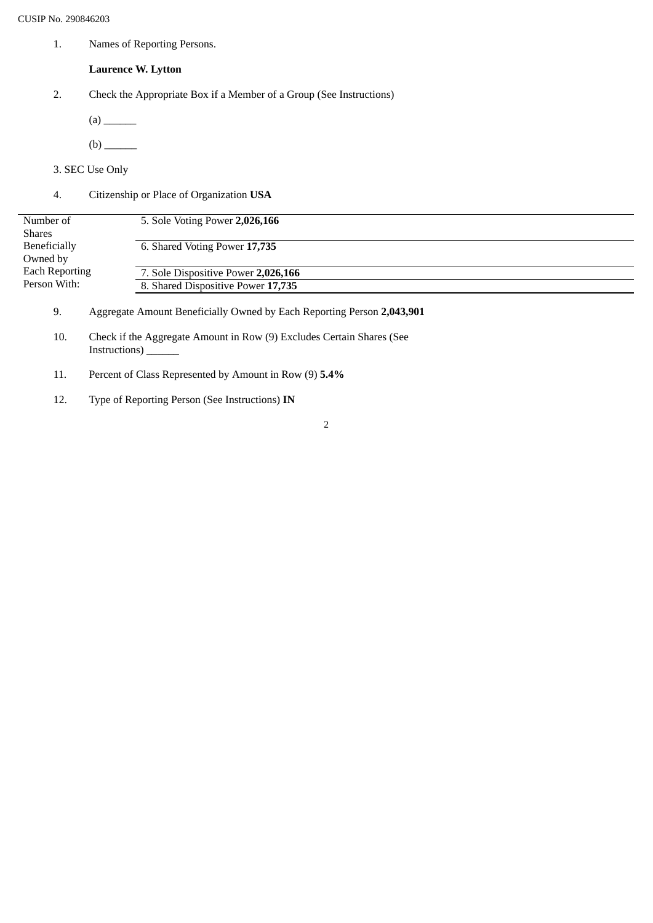1. Names of Reporting Persons.

## **Laurence W. Lytton**

- 2. Check the Appropriate Box if a Member of a Group (See Instructions)
	- (a) \_\_\_\_\_\_
	- (b) \_\_\_\_\_\_
- 3. SEC Use Only
- 4. Citizenship or Place of Organization **USA**

| Number of                             | 5. Sole Voting Power 2,026,166      |
|---------------------------------------|-------------------------------------|
| <b>Shares</b>                         |                                     |
| Beneficially                          | 6. Shared Voting Power 17,735       |
| Owned by                              |                                     |
| <b>Each Reporting</b><br>Person With: | 7. Sole Dispositive Power 2,026,166 |
|                                       | 8. Shared Dispositive Power 17,735  |
|                                       |                                     |

- 9. Aggregate Amount Beneficially Owned by Each Reporting Person **2,043,901**
- 10. Check if the Aggregate Amount in Row (9) Excludes Certain Shares (See Instructions) **\_\_\_\_\_\_**
- 11. Percent of Class Represented by Amount in Row (9) **5.4%**
- 12. Type of Reporting Person (See Instructions) **IN**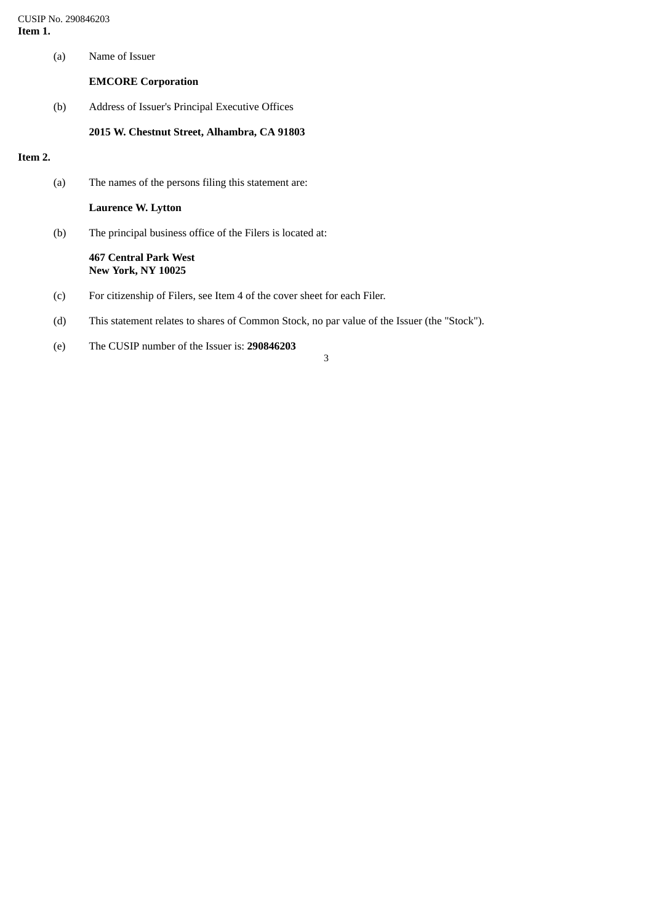CUSIP No. 290846203 **Item 1.**

## **EMCORE Corporation**

(b) Address of Issuer's Principal Executive Offices

#### **2015 W. Chestnut Street, Alhambra, CA 91803**

### **Item 2.**

(a) The names of the persons filing this statement are:

**Laurence W. Lytton**

(b) The principal business office of the Filers is located at:

#### **467 Central Park West New York, NY 10025**

- (c) For citizenship of Filers, see Item 4 of the cover sheet for each Filer.
- (d) This statement relates to shares of Common Stock, no par value of the Issuer (the "Stock").
- (e) The CUSIP number of the Issuer is: **290846203**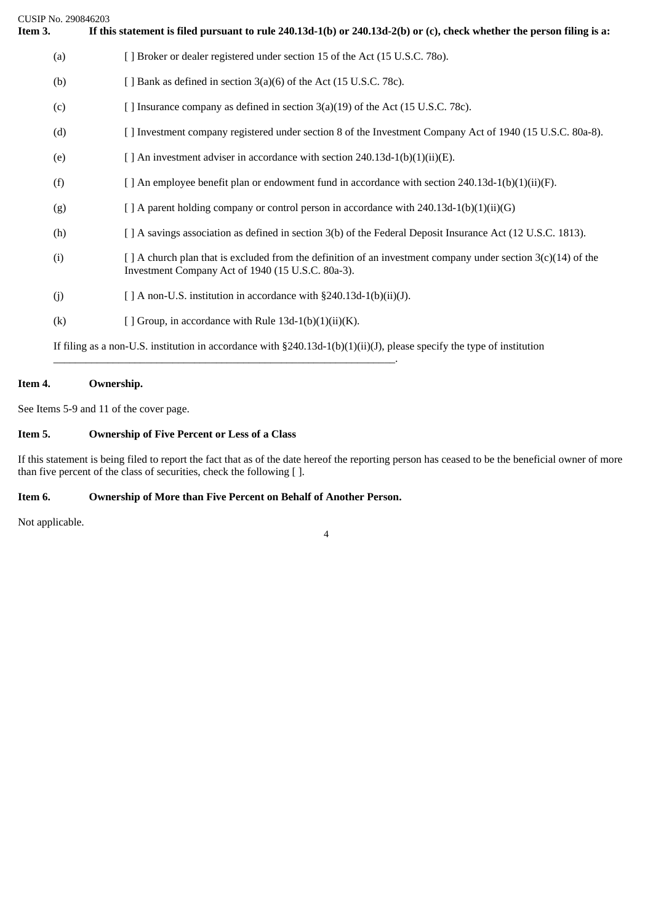| CUSIP No. 290846203<br>Item 3. | If this statement is filed pursuant to rule $240.13d-1(b)$ or $240.13d-2(b)$ or (c), check whether the person filing is a:                                              |
|--------------------------------|-------------------------------------------------------------------------------------------------------------------------------------------------------------------------|
| (a)                            | [ ] Broker or dealer registered under section 15 of the Act (15 U.S.C. 780).                                                                                            |
| (b)                            | [ ] Bank as defined in section 3(a)(6) of the Act (15 U.S.C. 78c).                                                                                                      |
| (c)                            | [ ] Insurance company as defined in section 3(a)(19) of the Act (15 U.S.C. 78c).                                                                                        |
| (d)                            | [ ] Investment company registered under section 8 of the Investment Company Act of 1940 (15 U.S.C. 80a-8).                                                              |
| (e)                            | [ ] An investment adviser in accordance with section 240.13d-1(b)(1)(ii)(E).                                                                                            |
| (f)                            | [ ] An employee benefit plan or endowment fund in accordance with section $240.13d-1(b)(1)(ii)(F)$ .                                                                    |
| (g)                            | $[$ A parent holding company or control person in accordance with 240.13d-1(b)(1)(ii)(G)                                                                                |
| (h)                            | [ ] A savings association as defined in section 3(b) of the Federal Deposit Insurance Act (12 U.S.C. 1813).                                                             |
| (i)                            | $\lceil$ A church plan that is excluded from the definition of an investment company under section 3(c)(14) of the<br>Investment Company Act of 1940 (15 U.S.C. 80a-3). |
| (i)                            | [ ] A non-U.S. institution in accordance with §240.13d-1(b)(ii)(J).                                                                                                     |
| (k)                            | [ ] Group, in accordance with Rule $13d-1(b)(1)(ii)(K)$ .                                                                                                               |
|                                | If filing as a non-U.S. institution in accordance with $\S240.13d-1(b)(1)(ii)(J)$ , please specify the type of institution                                              |

## **Item 4. Ownership.**

See Items 5-9 and 11 of the cover page.

## **Item 5. Ownership of Five Percent or Less of a Class**

If this statement is being filed to report the fact that as of the date hereof the reporting person has ceased to be the beneficial owner of more than five percent of the class of securities, check the following [ ].

## **Item 6. Ownership of More than Five Percent on Behalf of Another Person.**

\_\_\_\_\_\_\_\_\_\_\_\_\_\_\_\_\_\_\_\_\_\_\_\_\_\_\_\_\_\_\_\_\_\_\_\_\_\_\_\_\_\_\_\_\_\_\_\_\_\_\_\_\_\_\_\_\_\_\_\_\_\_\_.

Not applicable.